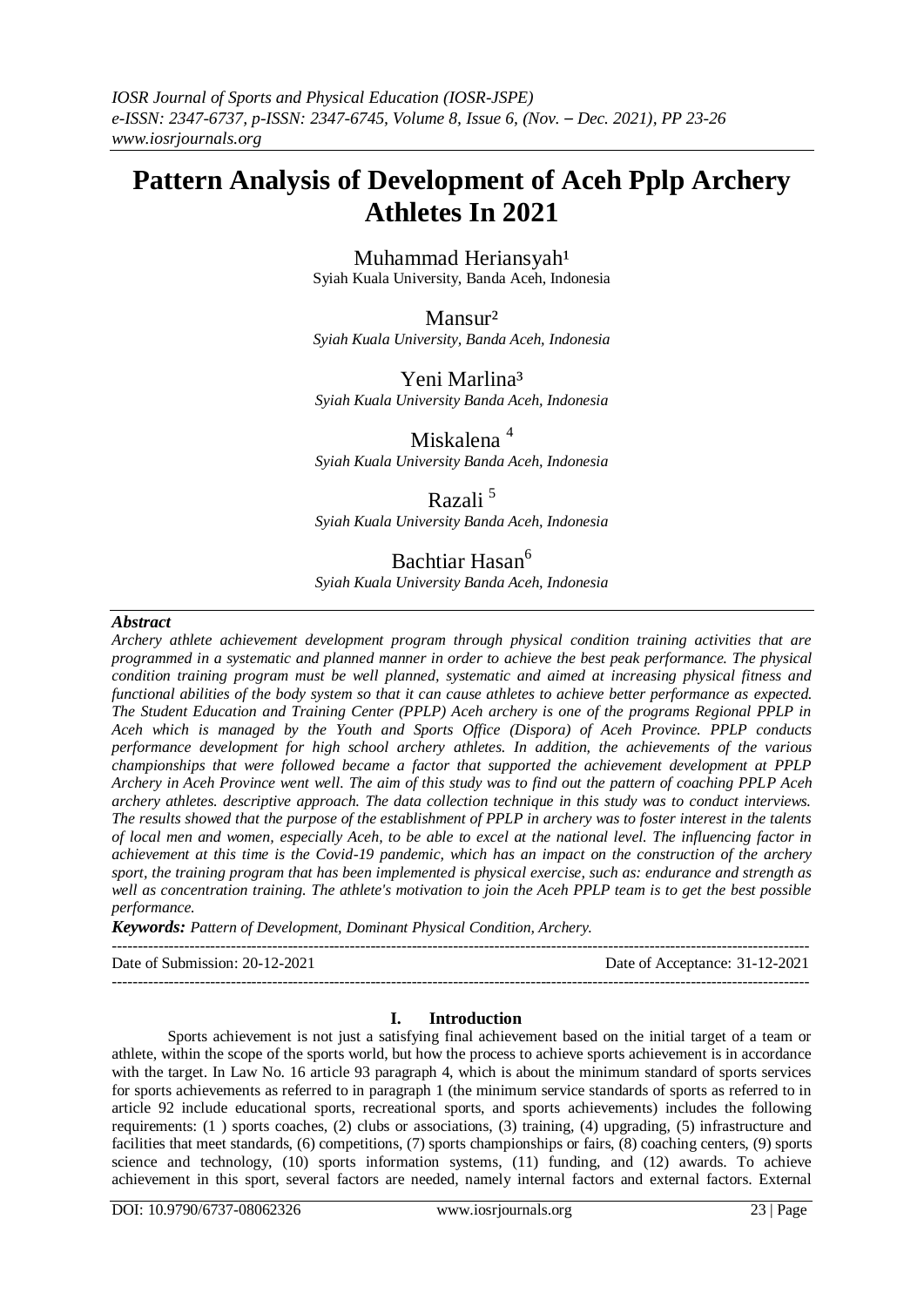# **Pattern Analysis of Development of Aceh Pplp Archery Athletes In 2021**

Muhammad Heriansyah<sup>1</sup> Syiah Kuala University, Banda Aceh, Indonesia

Mansur² *Syiah Kuala University, Banda Aceh, Indonesia*

# Yeni Marlina<sup>3</sup>

*Syiah Kuala University Banda Aceh, Indonesia*

Miskalena<sup>4</sup> *Syiah Kuala University Banda Aceh, Indonesia*

## Razali<sup>5</sup>

*Syiah Kuala University Banda Aceh, Indonesia*

## Bachtiar Hasan<sup>6</sup>

*Syiah Kuala University Banda Aceh, Indonesia*

### *Abstract*

*Archery athlete achievement development program through physical condition training activities that are programmed in a systematic and planned manner in order to achieve the best peak performance. The physical condition training program must be well planned, systematic and aimed at increasing physical fitness and functional abilities of the body system so that it can cause athletes to achieve better performance as expected. The Student Education and Training Center (PPLP) Aceh archery is one of the programs Regional PPLP in Aceh which is managed by the Youth and Sports Office (Dispora) of Aceh Province. PPLP conducts performance development for high school archery athletes. In addition, the achievements of the various championships that were followed became a factor that supported the achievement development at PPLP Archery in Aceh Province went well. The aim of this study was to find out the pattern of coaching PPLP Aceh archery athletes. descriptive approach. The data collection technique in this study was to conduct interviews. The results showed that the purpose of the establishment of PPLP in archery was to foster interest in the talents of local men and women, especially Aceh, to be able to excel at the national level. The influencing factor in achievement at this time is the Covid-19 pandemic, which has an impact on the construction of the archery sport, the training program that has been implemented is physical exercise, such as: endurance and strength as well as concentration training. The athlete's motivation to join the Aceh PPLP team is to get the best possible performance.*

*Keywords: Pattern of Development, Dominant Physical Condition, Archery.*

--------------------------------------------------------------------------------------------------------------------------------------- Date of Submission: 20-12-2021 Date of Acceptance: 31-12-2021

---------------------------------------------------------------------------------------------------------------------------------------

### **I. Introduction**

Sports achievement is not just a satisfying final achievement based on the initial target of a team or athlete, within the scope of the sports world, but how the process to achieve sports achievement is in accordance with the target. In Law No. 16 article 93 paragraph 4, which is about the minimum standard of sports services for sports achievements as referred to in paragraph 1 (the minimum service standards of sports as referred to in article 92 include educational sports, recreational sports, and sports achievements) includes the following requirements: (1 ) sports coaches, (2) clubs or associations, (3) training, (4) upgrading, (5) infrastructure and facilities that meet standards, (6) competitions, (7) sports championships or fairs, (8) coaching centers, (9) sports science and technology, (10) sports information systems, (11) funding, and (12) awards. To achieve achievement in this sport, several factors are needed, namely internal factors and external factors. External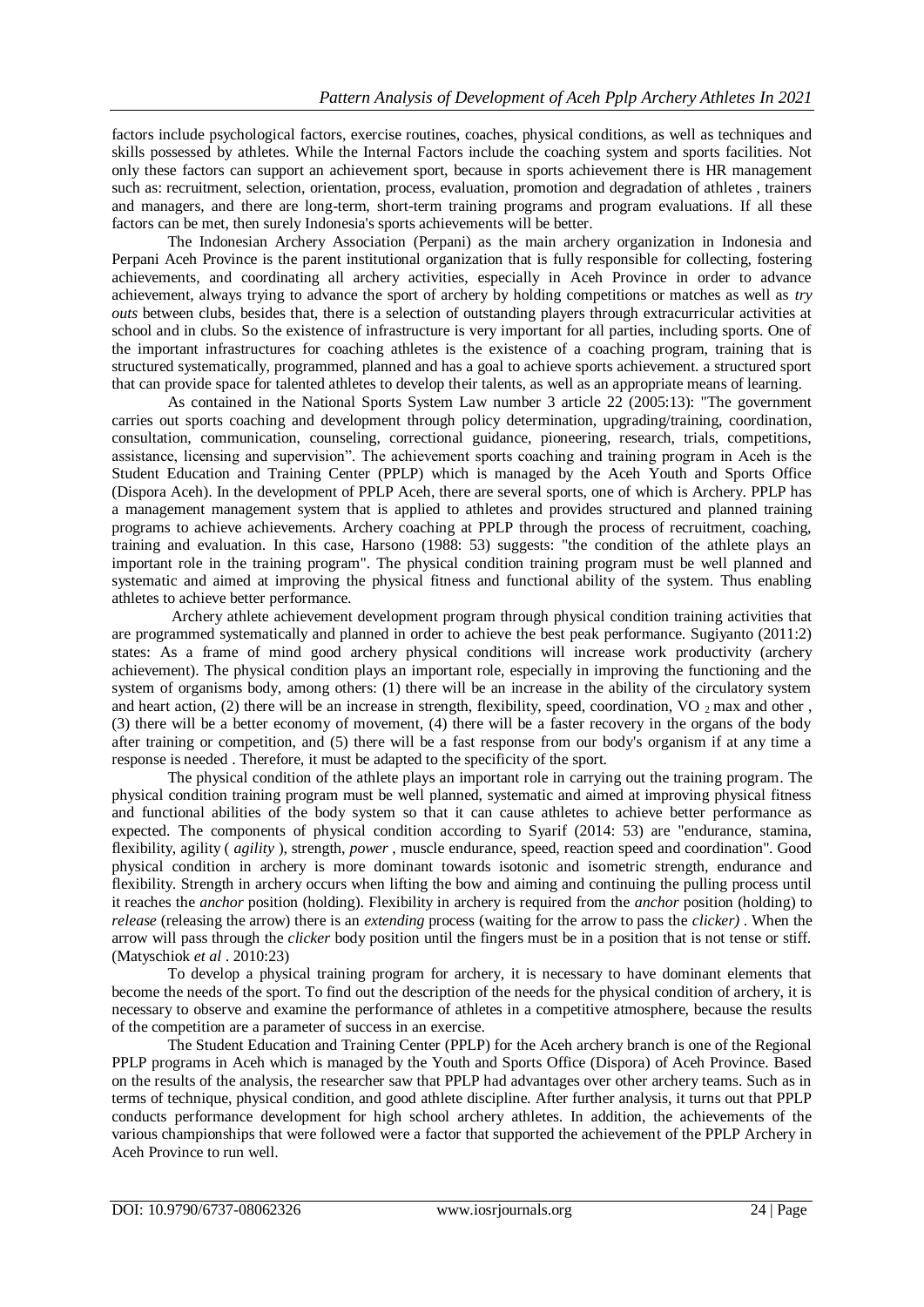factors include psychological factors, exercise routines, coaches, physical conditions, as well as techniques and skills possessed by athletes. While the Internal Factors include the coaching system and sports facilities. Not only these factors can support an achievement sport, because in sports achievement there is HR management such as: recruitment, selection, orientation, process, evaluation, promotion and degradation of athletes , trainers and managers, and there are long-term, short-term training programs and program evaluations. If all these factors can be met, then surely Indonesia's sports achievements will be better.

The Indonesian Archery Association (Perpani) as the main archery organization in Indonesia and Perpani Aceh Province is the parent institutional organization that is fully responsible for collecting, fostering achievements, and coordinating all archery activities, especially in Aceh Province in order to advance achievement, always trying to advance the sport of archery by holding competitions or matches as well as *try outs* between clubs, besides that, there is a selection of outstanding players through extracurricular activities at school and in clubs. So the existence of infrastructure is very important for all parties, including sports. One of the important infrastructures for coaching athletes is the existence of a coaching program, training that is structured systematically, programmed, planned and has a goal to achieve sports achievement. a structured sport that can provide space for talented athletes to develop their talents, as well as an appropriate means of learning.

As contained in the National Sports System Law number 3 article 22 (2005:13): "The government carries out sports coaching and development through policy determination, upgrading/training, coordination, consultation, communication, counseling, correctional guidance, pioneering, research, trials, competitions, assistance, licensing and supervision". The achievement sports coaching and training program in Aceh is the Student Education and Training Center (PPLP) which is managed by the Aceh Youth and Sports Office (Dispora Aceh). In the development of PPLP Aceh, there are several sports, one of which is Archery. PPLP has a management management system that is applied to athletes and provides structured and planned training programs to achieve achievements. Archery coaching at PPLP through the process of recruitment, coaching, training and evaluation. In this case, Harsono (1988: 53) suggests: "the condition of the athlete plays an important role in the training program". The physical condition training program must be well planned and systematic and aimed at improving the physical fitness and functional ability of the system. Thus enabling athletes to achieve better performance.

Archery athlete achievement development program through physical condition training activities that are programmed systematically and planned in order to achieve the best peak performance. Sugiyanto (2011:2) states: As a frame of mind good archery physical conditions will increase work productivity (archery achievement). The physical condition plays an important role, especially in improving the functioning and the system of organisms body, among others: (1) there will be an increase in the ability of the circulatory system and heart action, (2) there will be an increase in strength, flexibility, speed, coordination, VO  $_2$  max and other, (3) there will be a better economy of movement, (4) there will be a faster recovery in the organs of the body after training or competition, and (5) there will be a fast response from our body's organism if at any time a response is needed . Therefore, it must be adapted to the specificity of the sport.

The physical condition of the athlete plays an important role in carrying out the training program. The physical condition training program must be well planned, systematic and aimed at improving physical fitness and functional abilities of the body system so that it can cause athletes to achieve better performance as expected. The components of physical condition according to Syarif (2014: 53) are "endurance, stamina, flexibility, agility ( *agility* ), strength, *power* , muscle endurance, speed, reaction speed and coordination". Good physical condition in archery is more dominant towards isotonic and isometric strength, endurance and flexibility. Strength in archery occurs when lifting the bow and aiming and continuing the pulling process until it reaches the *anchor* position (holding). Flexibility in archery is required from the *anchor* position (holding) to *release* (releasing the arrow) there is an *extending* process (waiting for the arrow to pass the *clicker)* . When the arrow will pass through the *clicker* body position until the fingers must be in a position that is not tense or stiff. (Matyschiok *et al* . 2010:23)

To develop a physical training program for archery, it is necessary to have dominant elements that become the needs of the sport. To find out the description of the needs for the physical condition of archery, it is necessary to observe and examine the performance of athletes in a competitive atmosphere, because the results of the competition are a parameter of success in an exercise.

The Student Education and Training Center (PPLP) for the Aceh archery branch is one of the Regional PPLP programs in Aceh which is managed by the Youth and Sports Office (Dispora) of Aceh Province. Based on the results of the analysis, the researcher saw that PPLP had advantages over other archery teams. Such as in terms of technique, physical condition, and good athlete discipline. After further analysis, it turns out that PPLP conducts performance development for high school archery athletes. In addition, the achievements of the various championships that were followed were a factor that supported the achievement of the PPLP Archery in Aceh Province to run well.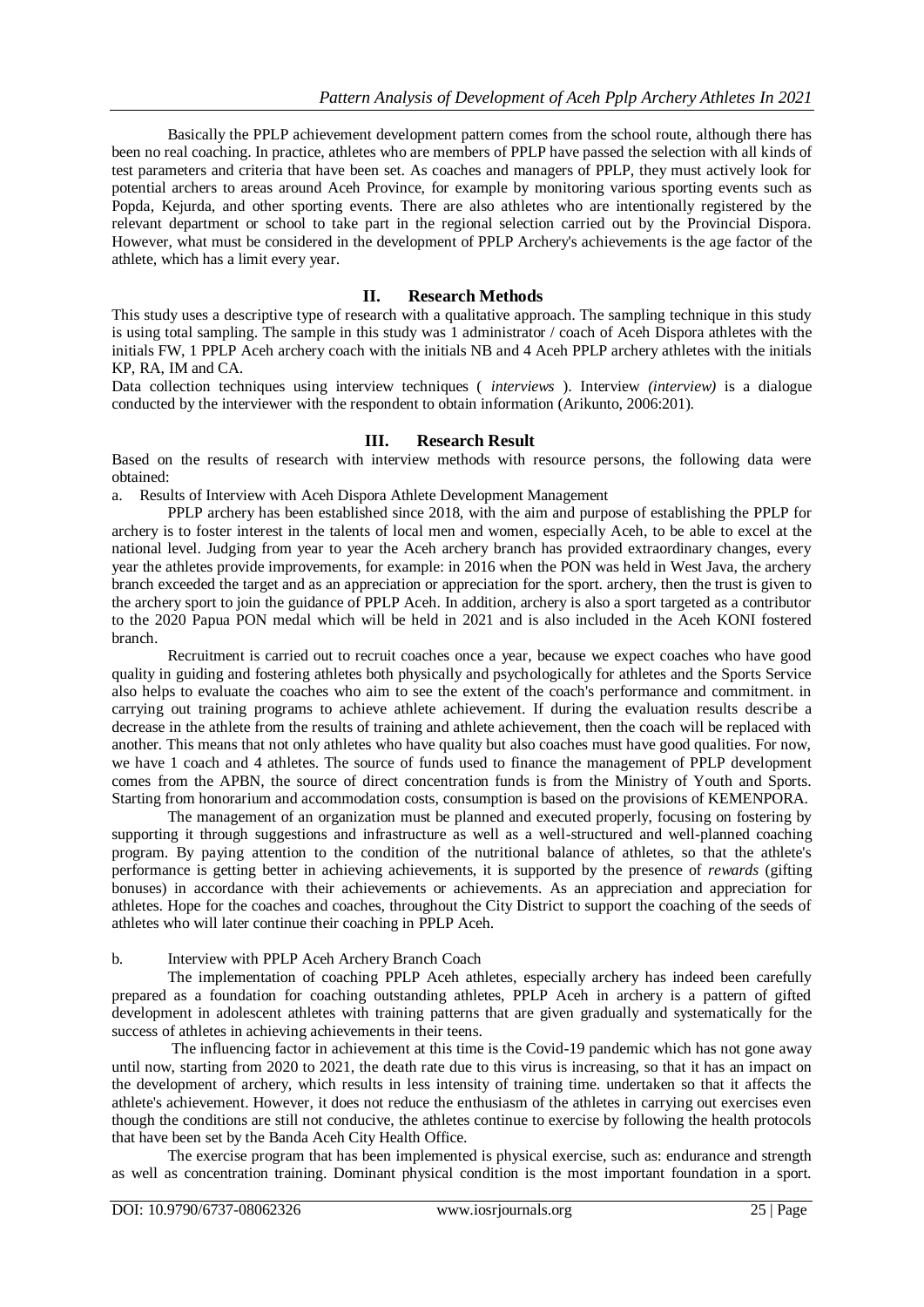Basically the PPLP achievement development pattern comes from the school route, although there has been no real coaching. In practice, athletes who are members of PPLP have passed the selection with all kinds of test parameters and criteria that have been set. As coaches and managers of PPLP, they must actively look for potential archers to areas around Aceh Province, for example by monitoring various sporting events such as Popda, Kejurda, and other sporting events. There are also athletes who are intentionally registered by the relevant department or school to take part in the regional selection carried out by the Provincial Dispora. However, what must be considered in the development of PPLP Archery's achievements is the age factor of the athlete, which has a limit every year.

### **II. Research Methods**

This study uses a descriptive type of research with a qualitative approach. The sampling technique in this study is using total sampling. The sample in this study was 1 administrator / coach of Aceh Dispora athletes with the initials FW, 1 PPLP Aceh archery coach with the initials NB and 4 Aceh PPLP archery athletes with the initials KP, RA, IM and CA.

Data collection techniques using interview techniques ( *interviews* ). Interview *(interview)* is a dialogue conducted by the interviewer with the respondent to obtain information (Arikunto, 2006:201).

### **III. Research Result**

Based on the results of research with interview methods with resource persons, the following data were obtained:

a. Results of Interview with Aceh Dispora Athlete Development Management

PPLP archery has been established since 2018, with the aim and purpose of establishing the PPLP for archery is to foster interest in the talents of local men and women, especially Aceh, to be able to excel at the national level. Judging from year to year the Aceh archery branch has provided extraordinary changes, every year the athletes provide improvements, for example: in 2016 when the PON was held in West Java, the archery branch exceeded the target and as an appreciation or appreciation for the sport. archery, then the trust is given to the archery sport to join the guidance of PPLP Aceh. In addition, archery is also a sport targeted as a contributor to the 2020 Papua PON medal which will be held in 2021 and is also included in the Aceh KONI fostered branch.

Recruitment is carried out to recruit coaches once a year, because we expect coaches who have good quality in guiding and fostering athletes both physically and psychologically for athletes and the Sports Service also helps to evaluate the coaches who aim to see the extent of the coach's performance and commitment. in carrying out training programs to achieve athlete achievement. If during the evaluation results describe a decrease in the athlete from the results of training and athlete achievement, then the coach will be replaced with another. This means that not only athletes who have quality but also coaches must have good qualities. For now, we have 1 coach and 4 athletes. The source of funds used to finance the management of PPLP development comes from the APBN, the source of direct concentration funds is from the Ministry of Youth and Sports. Starting from honorarium and accommodation costs, consumption is based on the provisions of KEMENPORA.

The management of an organization must be planned and executed properly, focusing on fostering by supporting it through suggestions and infrastructure as well as a well-structured and well-planned coaching program. By paying attention to the condition of the nutritional balance of athletes, so that the athlete's performance is getting better in achieving achievements, it is supported by the presence of *rewards* (gifting bonuses) in accordance with their achievements or achievements. As an appreciation and appreciation for athletes. Hope for the coaches and coaches, throughout the City District to support the coaching of the seeds of athletes who will later continue their coaching in PPLP Aceh.

#### b. Interview with PPLP Aceh Archery Branch Coach

The implementation of coaching PPLP Aceh athletes, especially archery has indeed been carefully prepared as a foundation for coaching outstanding athletes, PPLP Aceh in archery is a pattern of gifted development in adolescent athletes with training patterns that are given gradually and systematically for the success of athletes in achieving achievements in their teens.

The influencing factor in achievement at this time is the Covid-19 pandemic which has not gone away until now, starting from 2020 to 2021, the death rate due to this virus is increasing, so that it has an impact on the development of archery, which results in less intensity of training time. undertaken so that it affects the athlete's achievement. However, it does not reduce the enthusiasm of the athletes in carrying out exercises even though the conditions are still not conducive, the athletes continue to exercise by following the health protocols that have been set by the Banda Aceh City Health Office.

The exercise program that has been implemented is physical exercise, such as: endurance and strength as well as concentration training. Dominant physical condition is the most important foundation in a sport.